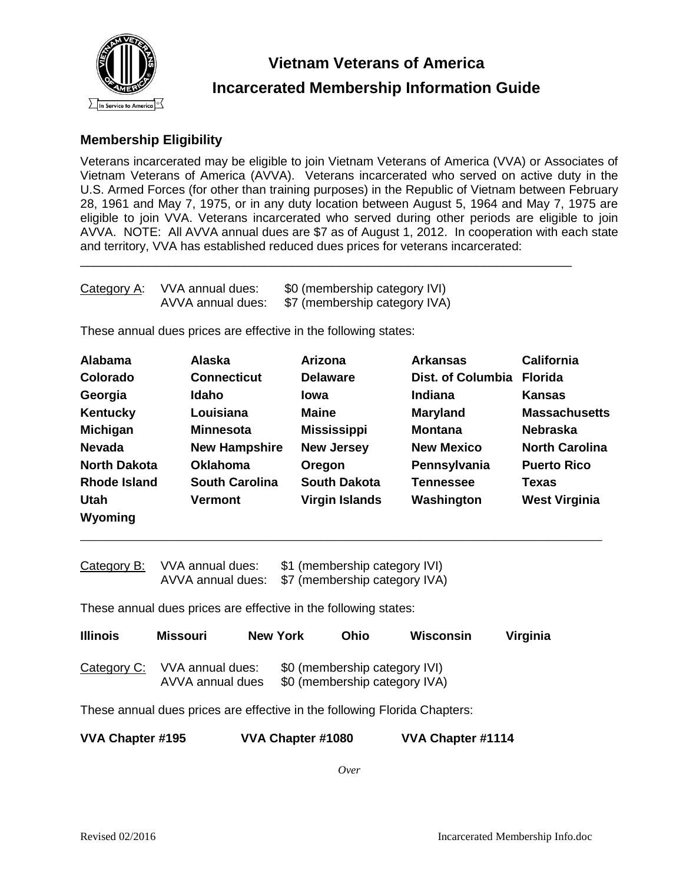

# **Vietnam Veterans of America Incarcerated Membership Information Guide**

# **Membership Eligibility**

Veterans incarcerated may be eligible to join Vietnam Veterans of America (VVA) or Associates of Vietnam Veterans of America (AVVA). Veterans incarcerated who served on active duty in the U.S. Armed Forces (for other than training purposes) in the Republic of Vietnam between February 28, 1961 and May 7, 1975, or in any duty location between August 5, 1964 and May 7, 1975 are eligible to join VVA. Veterans incarcerated who served during other periods are eligible to join AVVA. NOTE: All AVVA annual dues are \$7 as of August 1, 2012. In cooperation with each state and territory, VVA has established reduced dues prices for veterans incarcerated:

\_\_\_\_\_\_\_\_\_\_\_\_\_\_\_\_\_\_\_\_\_\_\_\_\_\_\_\_\_\_\_\_\_\_\_\_\_\_\_\_\_\_\_\_\_\_\_\_\_\_\_\_\_\_\_\_\_\_\_\_\_\_\_\_\_\_\_\_\_\_\_\_

| Category A: | VVA annual dues:  | \$0 (membership category IVI) |  |  |
|-------------|-------------------|-------------------------------|--|--|
|             | AVVA annual dues: | \$7 (membership category IVA) |  |  |

These annual dues prices are effective in the following states:

| <b>Alabama</b>      | <b>Alaska</b>         | Arizona               | <b>Arkansas</b>          | <b>California</b>     |
|---------------------|-----------------------|-----------------------|--------------------------|-----------------------|
| Colorado            | <b>Connecticut</b>    | <b>Delaware</b>       | <b>Dist. of Columbia</b> | <b>Florida</b>        |
| Georgia             | Idaho                 | lowa                  | Indiana                  | <b>Kansas</b>         |
| Kentucky            | Louisiana             | <b>Maine</b>          | <b>Maryland</b>          | <b>Massachusetts</b>  |
| <b>Michigan</b>     | <b>Minnesota</b>      | <b>Mississippi</b>    | <b>Montana</b>           | <b>Nebraska</b>       |
| <b>Nevada</b>       | <b>New Hampshire</b>  | <b>New Jersey</b>     | <b>New Mexico</b>        | <b>North Carolina</b> |
| <b>North Dakota</b> | <b>Oklahoma</b>       | Oregon                | Pennsylvania             | <b>Puerto Rico</b>    |
| <b>Rhode Island</b> | <b>South Carolina</b> | <b>South Dakota</b>   | <b>Tennessee</b>         | Texas                 |
| Utah                | <b>Vermont</b>        | <b>Virgin Islands</b> | Washington               | <b>West Virginia</b>  |
| Wyoming             |                       |                       |                          |                       |

\_\_\_\_\_\_\_\_\_\_\_\_\_\_\_\_\_\_\_\_\_\_\_\_\_\_\_\_\_\_\_\_\_\_\_\_\_\_\_\_\_\_\_\_\_\_\_\_\_\_\_\_\_\_\_\_\_\_\_\_\_\_\_\_\_\_\_\_\_\_\_\_\_\_\_\_\_\_

| Category B: | VVA annual dues:  | \$1 (membership category IVI) |  |  |
|-------------|-------------------|-------------------------------|--|--|
|             | AVVA annual dues: | \$7 (membership category IVA) |  |  |

These annual dues prices are effective in the following states:

| <b>Illinois</b> | Missouri                             | New York | Ohio                                                           | Wisconsin | Virginia |
|-----------------|--------------------------------------|----------|----------------------------------------------------------------|-----------|----------|
| Category C:     | VVA annual dues:<br>AVVA annual dues |          | \$0 (membership category IVI)<br>\$0 (membership category IVA) |           |          |

These annual dues prices are effective in the following Florida Chapters:

| VVA Chapter #195 | VVA Chapter #1080 | VVA Chapter #1114 |
|------------------|-------------------|-------------------|
|------------------|-------------------|-------------------|

*Over*